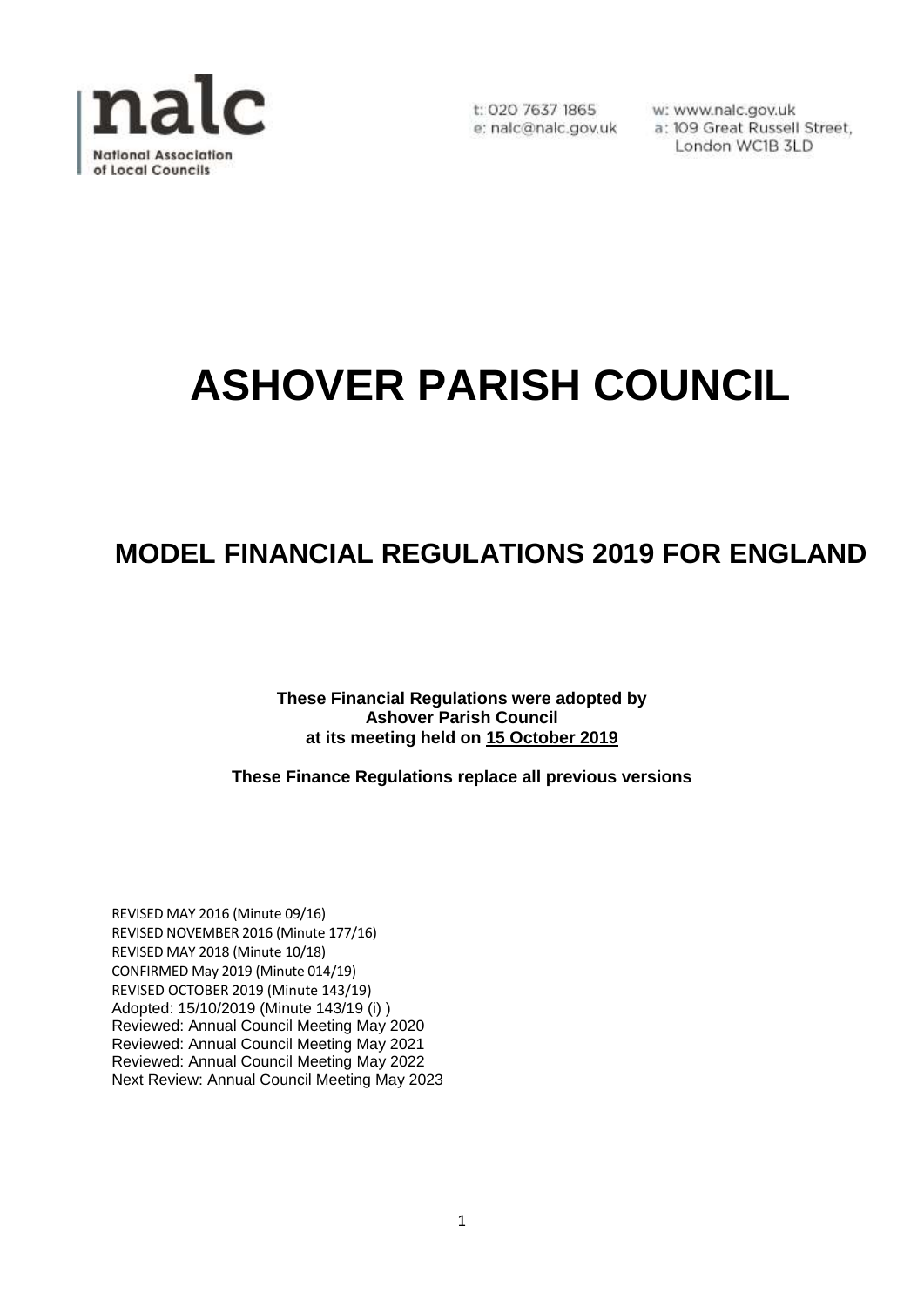

w: www.nalc.gov.uk a: 109 Great Russell Street, London WC1B 3LD

# **ASHOVER PARISH COUNCIL**

## **MODEL FINANCIAL REGULATIONS 2019 FOR ENGLAND**

**These Financial Regulations were adopted by Ashover Parish Council at its meeting held on 15 October 2019**

**These Finance Regulations replace all previous versions**

REVISED MAY 2016 (Minute 09/16) REVISED NOVEMBER 2016 (Minute 177/16) REVISED MAY 2018 (Minute 10/18) CONFIRMED May 2019 (Minute 014/19) REVISED OCTOBER 2019 (Minute 143/19) Adopted: 15/10/2019 (Minute 143/19 (i) ) Reviewed: Annual Council Meeting May 2020 Reviewed: Annual Council Meeting May 2021 Reviewed: Annual Council Meeting May 2022 Next Review: Annual Council Meeting May 2023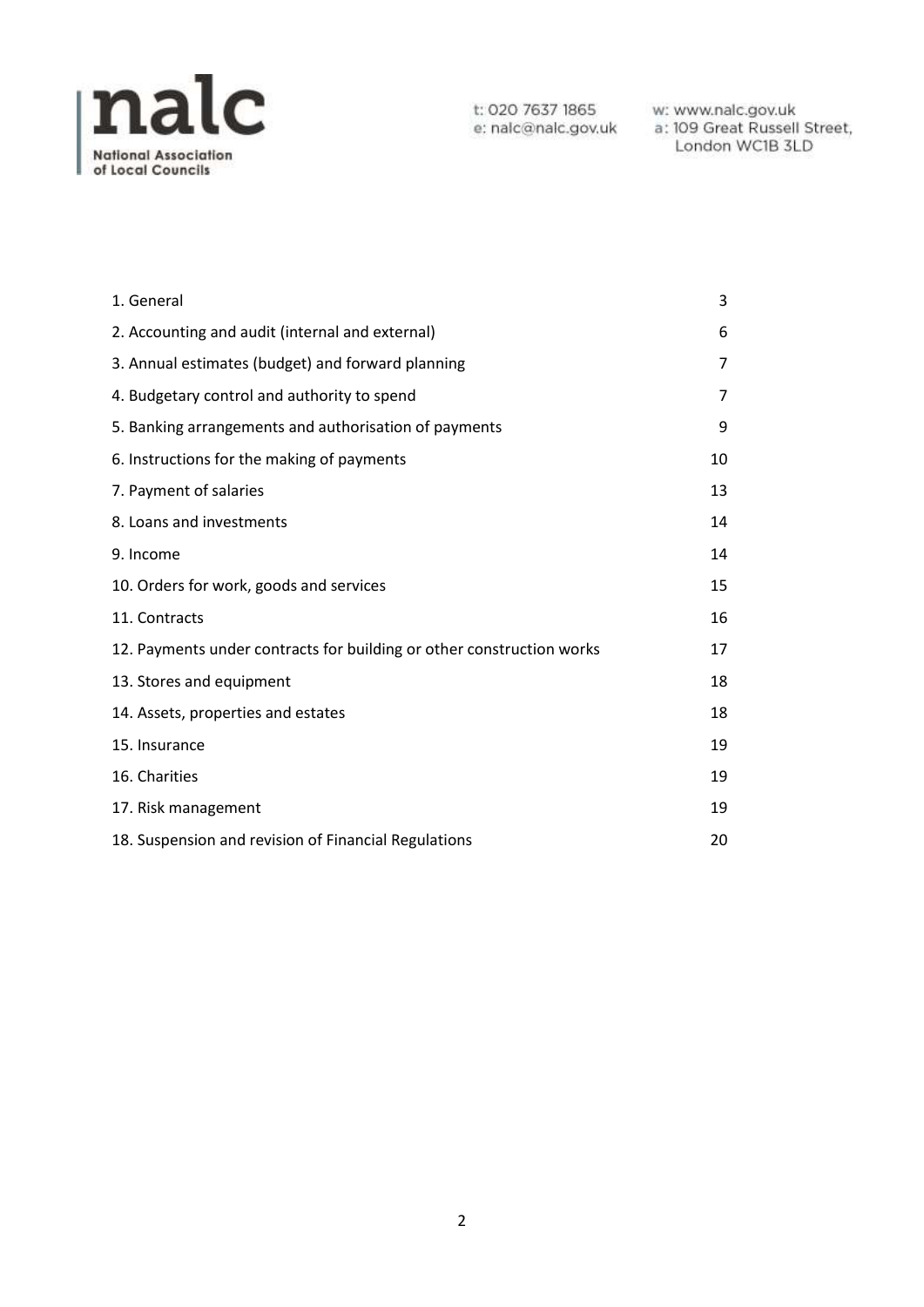

w: www.nalc.gov.uk<br>a: 109 Great Russell Street, London WC1B 3LD

| 1. General                                                            | 3              |
|-----------------------------------------------------------------------|----------------|
| 2. Accounting and audit (internal and external)                       | 6              |
| 3. Annual estimates (budget) and forward planning                     | 7              |
| 4. Budgetary control and authority to spend                           | $\overline{7}$ |
| 5. Banking arrangements and authorisation of payments                 | 9              |
| 6. Instructions for the making of payments                            | 10             |
| 7. Payment of salaries                                                | 13             |
| 8. Loans and investments                                              | 14             |
| 9. Income                                                             | 14             |
| 10. Orders for work, goods and services                               | 15             |
| 11. Contracts                                                         | 16             |
| 12. Payments under contracts for building or other construction works | 17             |
| 13. Stores and equipment                                              | 18             |
| 14. Assets, properties and estates                                    | 18             |
| 15. Insurance                                                         | 19             |
| 16. Charities                                                         | 19             |
| 17. Risk management                                                   | 19             |
| 18. Suspension and revision of Financial Regulations                  | 20             |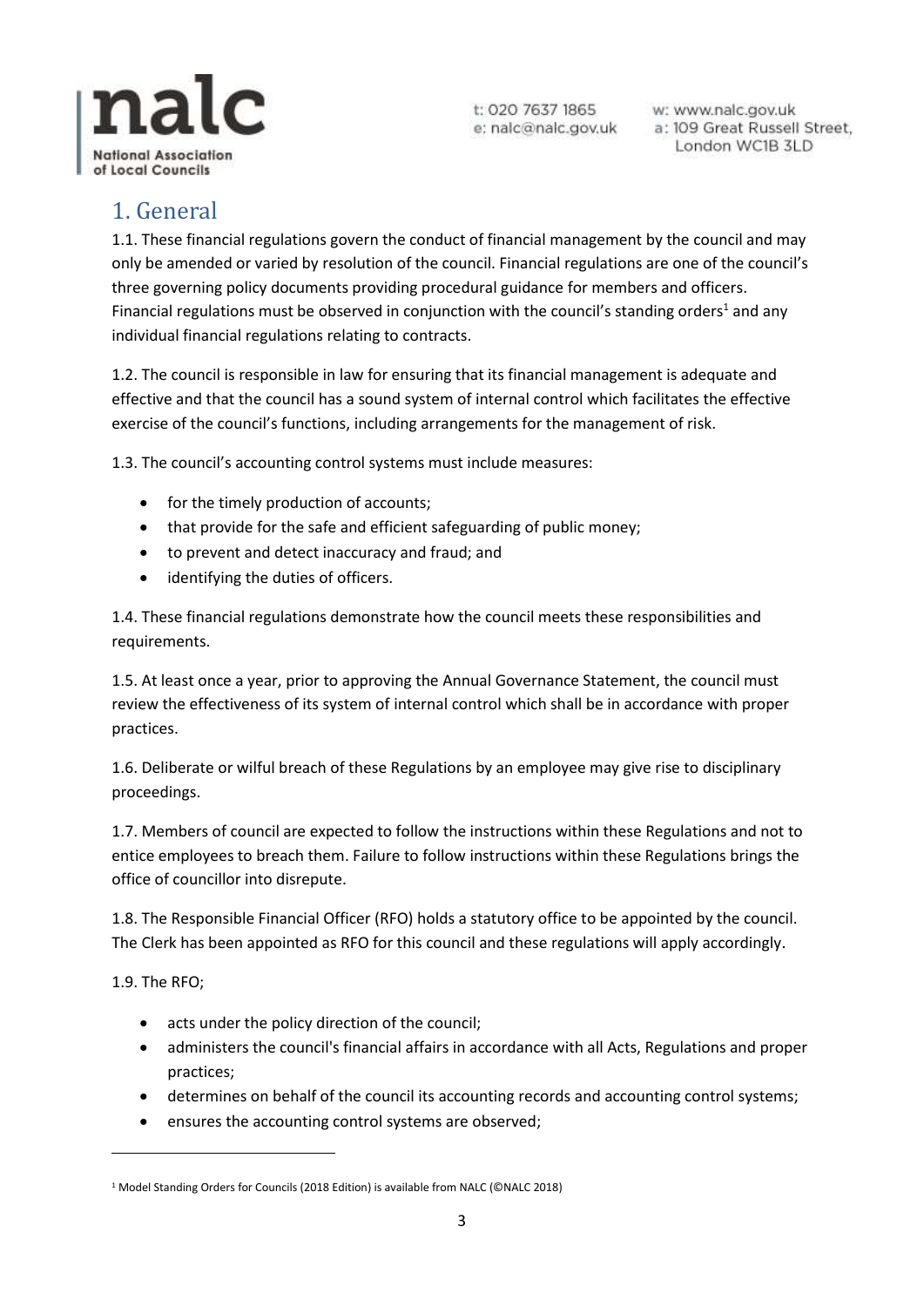

w: www.nalc.gov.uk a: 109 Great Russell Street, London WC1B 3LD

## <span id="page-2-0"></span>1. General

1.1. These financial regulations govern the conduct of financial management by the council and may only be amended or varied by resolution of the council. Financial regulations are one of the council's three governing policy documents providing procedural guidance for members and officers. Financial regulations must be observed in conjunction with the council's standing orders<sup>1</sup> and any individual financial regulations relating to contracts.

1.2. The council is responsible in law for ensuring that its financial management is adequate and effective and that the council has a sound system of internal control which facilitates the effective exercise of the council's functions, including arrangements for the management of risk.

1.3. The council's accounting control systems must include measures:

- for the timely production of accounts;
- that provide for the safe and efficient safeguarding of public money;
- to prevent and detect inaccuracy and fraud; and
- identifying the duties of officers.

1.4. These financial regulations demonstrate how the council meets these responsibilities and requirements.

1.5. At least once a year, prior to approving the Annual Governance Statement, the council must review the effectiveness of its system of internal control which shall be in accordance with proper practices.

1.6. Deliberate or wilful breach of these Regulations by an employee may give rise to disciplinary proceedings.

1.7. Members of council are expected to follow the instructions within these Regulations and not to entice employees to breach them. Failure to follow instructions within these Regulations brings the office of councillor into disrepute.

1.8. The Responsible Financial Officer (RFO) holds a statutory office to be appointed by the council. The Clerk has been appointed as RFO for this council and these regulations will apply accordingly.

1.9. The RFO;

 $\overline{a}$ 

- acts under the policy direction of the council;
- administers the council's financial affairs in accordance with all Acts, Regulations and proper practices;
- determines on behalf of the council its accounting records and accounting control systems;
- ensures the accounting control systems are observed;

<sup>&</sup>lt;sup>1</sup> Model Standing Orders for Councils (2018 Edition) is available from NALC (©NALC 2018)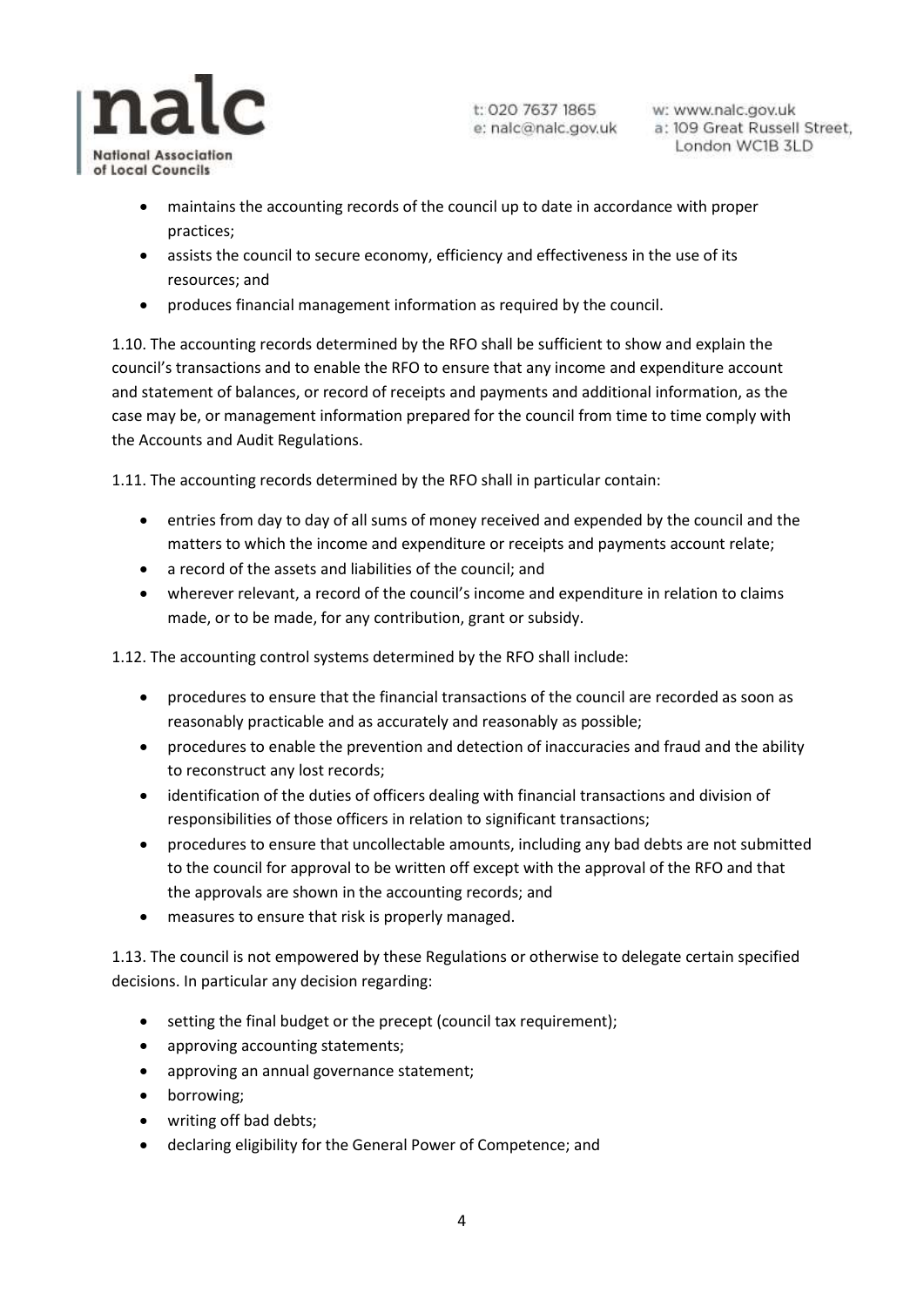

w: www.nalc.gov.uk a: 109 Great Russell Street, London WC1B 3LD

- maintains the accounting records of the council up to date in accordance with proper practices;
- assists the council to secure economy, efficiency and effectiveness in the use of its resources; and
- produces financial management information as required by the council.

1.10. The accounting records determined by the RFO shall be sufficient to show and explain the council's transactions and to enable the RFO to ensure that any income and expenditure account and statement of balances, or record of receipts and payments and additional information, as the case may be, or management information prepared for the council from time to time comply with the Accounts and Audit Regulations.

1.11. The accounting records determined by the RFO shall in particular contain:

- entries from day to day of all sums of money received and expended by the council and the matters to which the income and expenditure or receipts and payments account relate;
- a record of the assets and liabilities of the council; and
- wherever relevant, a record of the council's income and expenditure in relation to claims made, or to be made, for any contribution, grant or subsidy.

1.12. The accounting control systems determined by the RFO shall include:

- procedures to ensure that the financial transactions of the council are recorded as soon as reasonably practicable and as accurately and reasonably as possible;
- procedures to enable the prevention and detection of inaccuracies and fraud and the ability to reconstruct any lost records;
- identification of the duties of officers dealing with financial transactions and division of responsibilities of those officers in relation to significant transactions;
- procedures to ensure that uncollectable amounts, including any bad debts are not submitted to the council for approval to be written off except with the approval of the RFO and that the approvals are shown in the accounting records; and
- measures to ensure that risk is properly managed.

1.13. The council is not empowered by these Regulations or otherwise to delegate certain specified decisions. In particular any decision regarding:

- setting the final budget or the precept (council tax requirement);
- approving accounting statements;
- approving an annual governance statement;
- borrowing;
- writing off bad debts;
- declaring eligibility for the General Power of Competence; and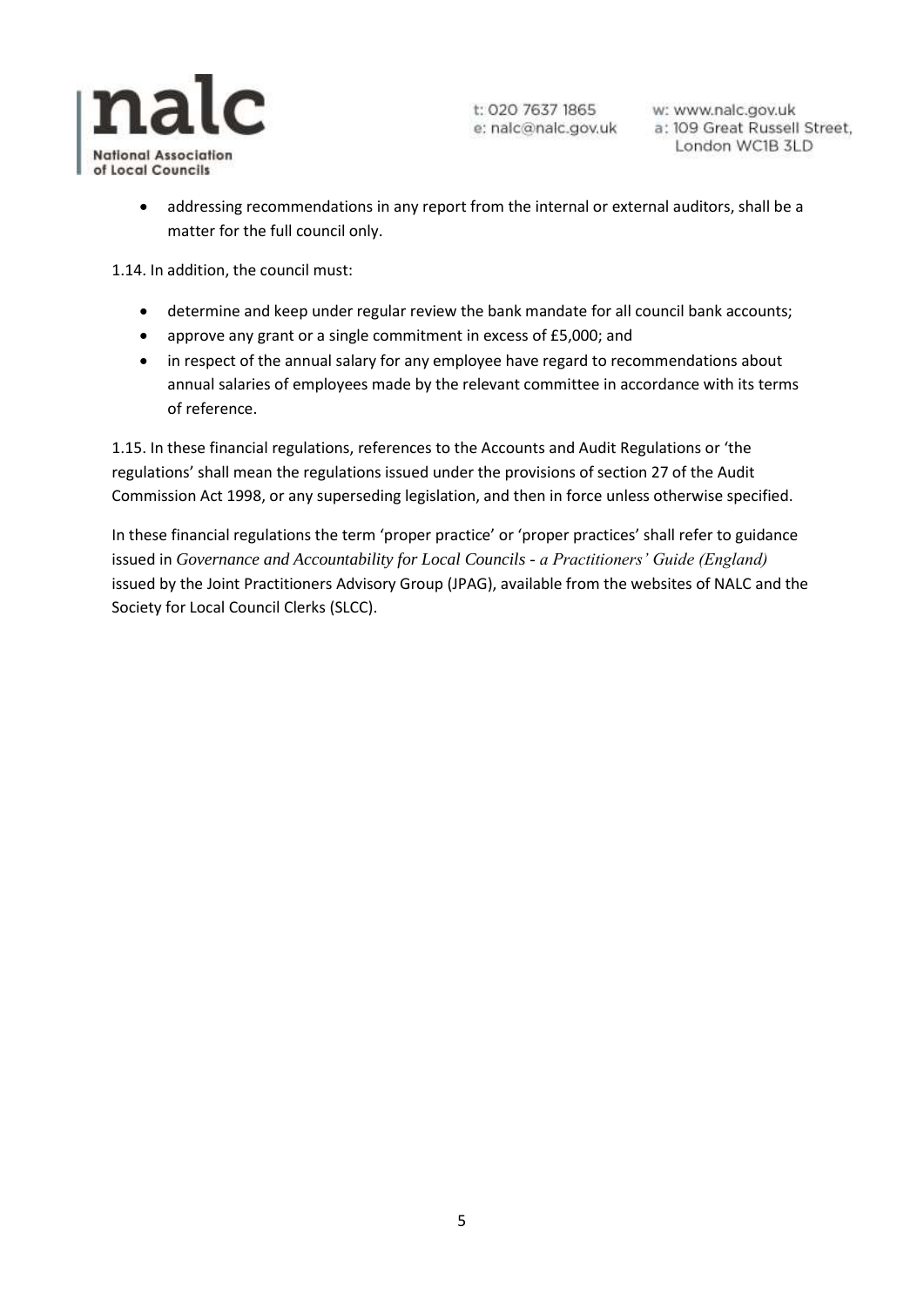

w: www.nalc.gov.uk a: 109 Great Russell Street, London WC1B 3LD

 addressing recommendations in any report from the internal or external auditors, shall be a matter for the full council only.

1.14. In addition, the council must:

- determine and keep under regular review the bank mandate for all council bank accounts;
- approve any grant or a single commitment in excess of £5,000; and
- in respect of the annual salary for any employee have regard to recommendations about annual salaries of employees made by the relevant committee in accordance with its terms of reference.

1.15. In these financial regulations, references to the Accounts and Audit Regulations or 'the regulations' shall mean the regulations issued under the provisions of section 27 of the Audit Commission Act 1998, or any superseding legislation, and then in force unless otherwise specified.

In these financial regulations the term 'proper practice' or 'proper practices' shall refer to guidance issued in *Governance and Accountability for Local Councils - a Practitioners' Guide (England)* issued by the Joint Practitioners Advisory Group (JPAG), available from the websites of NALC and the Society for Local Council Clerks (SLCC).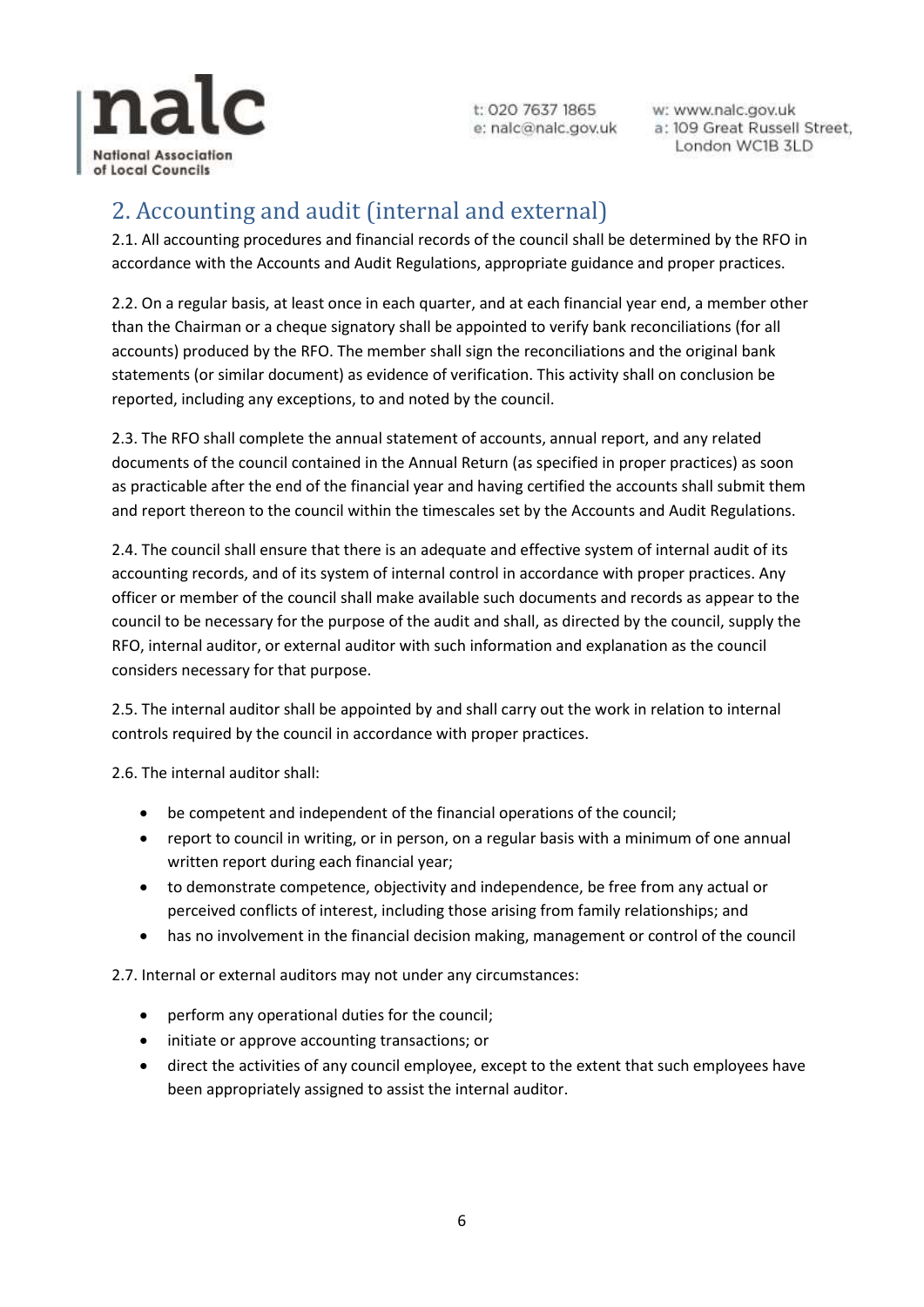

w: www.nalc.gov.uk a: 109 Great Russell Street, London WC1B 3LD

## <span id="page-5-0"></span>2. Accounting and audit (internal and external)

2.1. All accounting procedures and financial records of the council shall be determined by the RFO in accordance with the Accounts and Audit Regulations, appropriate guidance and proper practices.

2.2. On a regular basis, at least once in each quarter, and at each financial year end, a member other than the Chairman or a cheque signatory shall be appointed to verify bank reconciliations (for all accounts) produced by the RFO. The member shall sign the reconciliations and the original bank statements (or similar document) as evidence of verification. This activity shall on conclusion be reported, including any exceptions, to and noted by the council.

2.3. The RFO shall complete the annual statement of accounts, annual report, and any related documents of the council contained in the Annual Return (as specified in proper practices) as soon as practicable after the end of the financial year and having certified the accounts shall submit them and report thereon to the council within the timescales set by the Accounts and Audit Regulations.

2.4. The council shall ensure that there is an adequate and effective system of internal audit of its accounting records, and of its system of internal control in accordance with proper practices. Any officer or member of the council shall make available such documents and records as appear to the council to be necessary for the purpose of the audit and shall, as directed by the council, supply the RFO, internal auditor, or external auditor with such information and explanation as the council considers necessary for that purpose.

2.5. The internal auditor shall be appointed by and shall carry out the work in relation to internal controls required by the council in accordance with proper practices.

2.6. The internal auditor shall:

- be competent and independent of the financial operations of the council;
- report to council in writing, or in person, on a regular basis with a minimum of one annual written report during each financial year;
- to demonstrate competence, objectivity and independence, be free from any actual or perceived conflicts of interest, including those arising from family relationships; and
- has no involvement in the financial decision making, management or control of the council

2.7. Internal or external auditors may not under any circumstances:

- **•** perform any operational duties for the council:
- initiate or approve accounting transactions; or
- direct the activities of any council employee, except to the extent that such employees have been appropriately assigned to assist the internal auditor.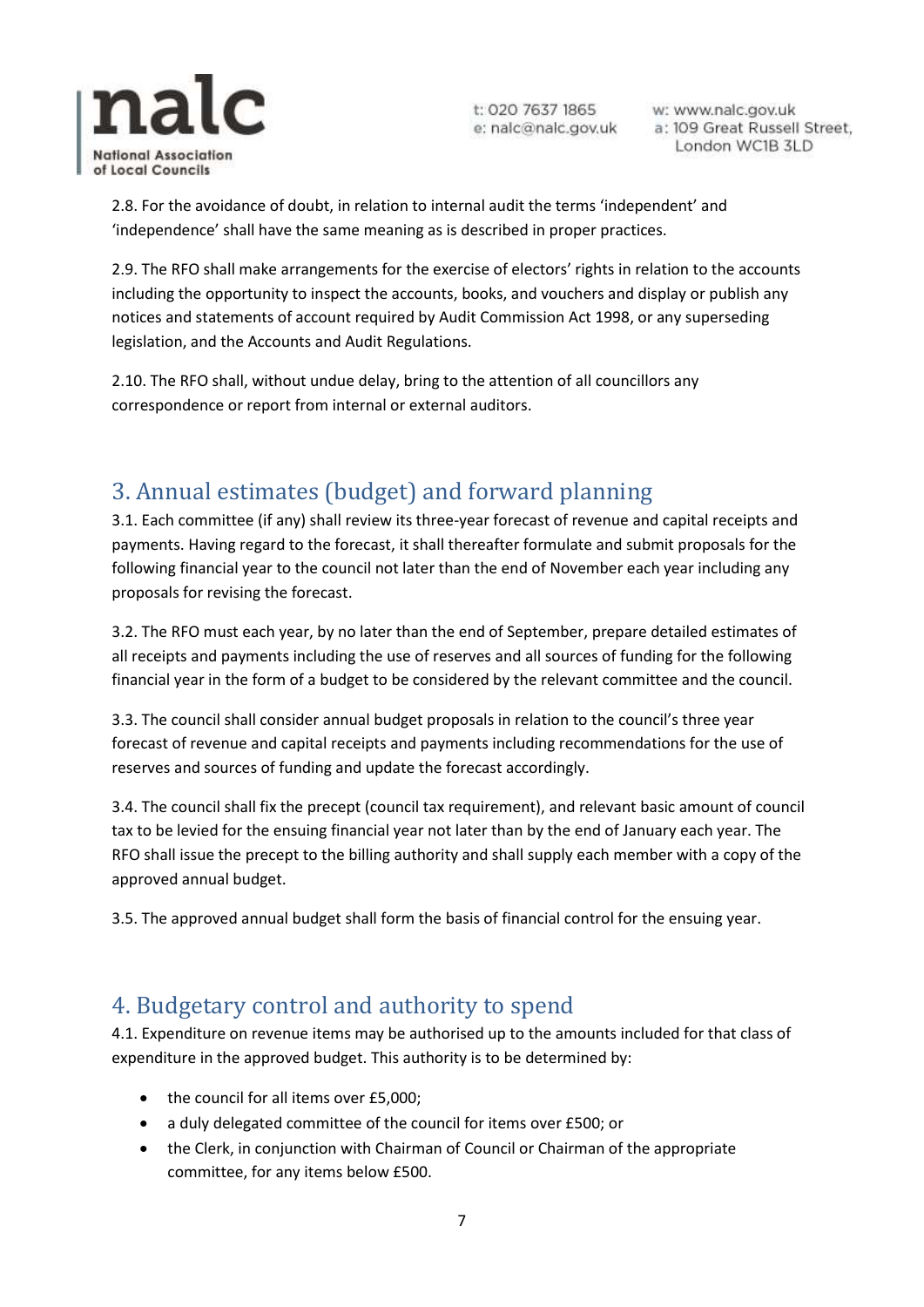

w: www.nalc.gov.uk a: 109 Great Russell Street, London WC1B 3LD

2.8. For the avoidance of doubt, in relation to internal audit the terms 'independent' and 'independence' shall have the same meaning as is described in proper practices.

2.9. The RFO shall make arrangements for the exercise of electors' rights in relation to the accounts including the opportunity to inspect the accounts, books, and vouchers and display or publish any notices and statements of account required by Audit Commission Act 1998, or any superseding legislation, and the Accounts and Audit Regulations.

2.10. The RFO shall, without undue delay, bring to the attention of all councillors any correspondence or report from internal or external auditors.

## <span id="page-6-0"></span>3. Annual estimates (budget) and forward planning

3.1. Each committee (if any) shall review its three-year forecast of revenue and capital receipts and payments. Having regard to the forecast, it shall thereafter formulate and submit proposals for the following financial year to the council not later than the end of November each year including any proposals for revising the forecast.

3.2. The RFO must each year, by no later than the end of September, prepare detailed estimates of all receipts and payments including the use of reserves and all sources of funding for the following financial year in the form of a budget to be considered by the relevant committee and the council.

3.3. The council shall consider annual budget proposals in relation to the council's three year forecast of revenue and capital receipts and payments including recommendations for the use of reserves and sources of funding and update the forecast accordingly.

3.4. The council shall fix the precept (council tax requirement), and relevant basic amount of council tax to be levied for the ensuing financial year not later than by the end of January each year. The RFO shall issue the precept to the billing authority and shall supply each member with a copy of the approved annual budget.

3.5. The approved annual budget shall form the basis of financial control for the ensuing year.

#### <span id="page-6-1"></span>4. Budgetary control and authority to spend

4.1. Expenditure on revenue items may be authorised up to the amounts included for that class of expenditure in the approved budget. This authority is to be determined by:

- the council for all items over £5,000;
- a duly delegated committee of the council for items over £500; or
- the Clerk, in conjunction with Chairman of Council or Chairman of the appropriate committee, for any items below £500.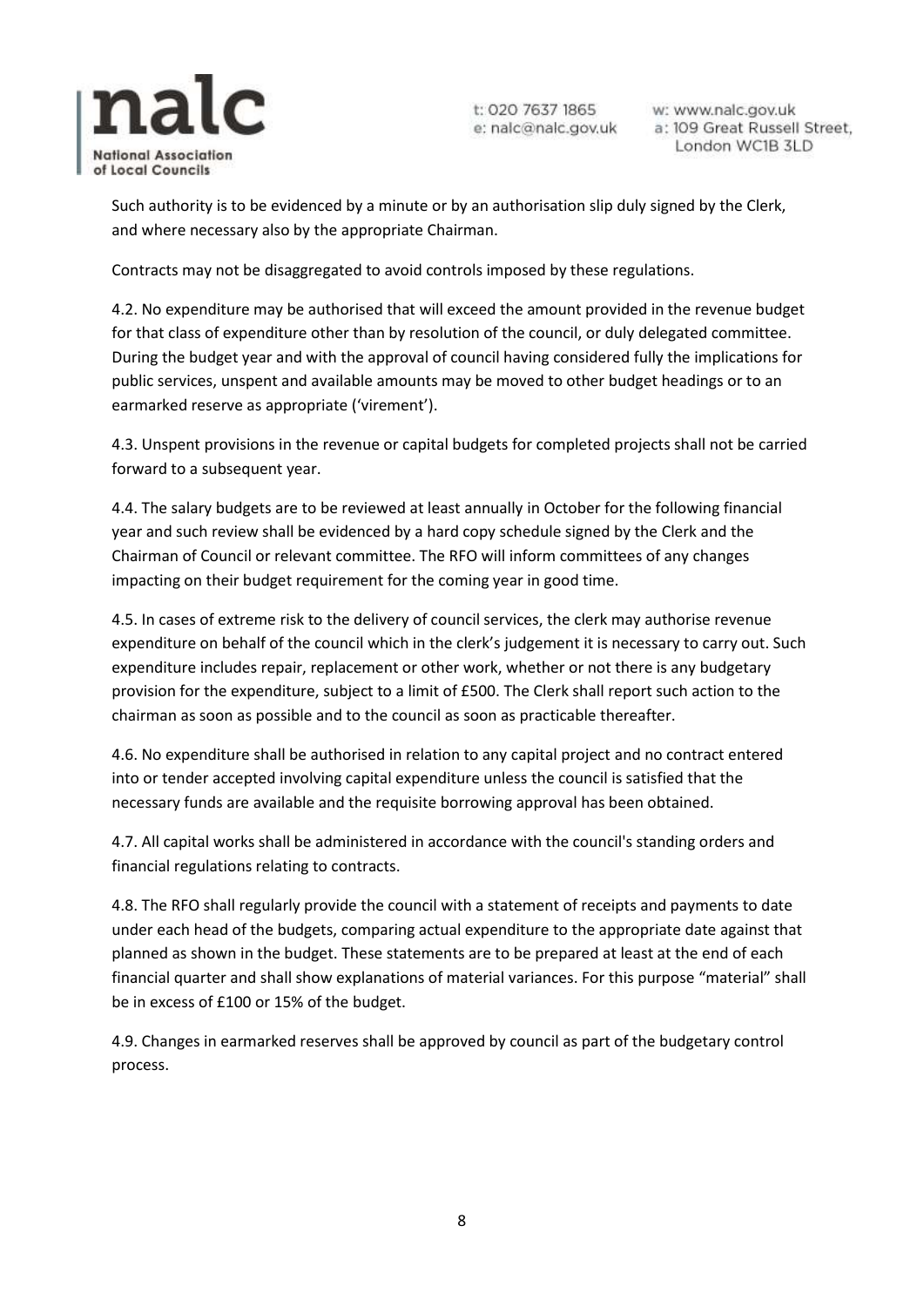

w: www.nalc.gov.uk a: 109 Great Russell Street, London WC1B 3LD

Such authority is to be evidenced by a minute or by an authorisation slip duly signed by the Clerk, and where necessary also by the appropriate Chairman.

Contracts may not be disaggregated to avoid controls imposed by these regulations.

4.2. No expenditure may be authorised that will exceed the amount provided in the revenue budget for that class of expenditure other than by resolution of the council, or duly delegated committee. During the budget year and with the approval of council having considered fully the implications for public services, unspent and available amounts may be moved to other budget headings or to an earmarked reserve as appropriate ('virement').

4.3. Unspent provisions in the revenue or capital budgets for completed projects shall not be carried forward to a subsequent year.

4.4. The salary budgets are to be reviewed at least annually in October for the following financial year and such review shall be evidenced by a hard copy schedule signed by the Clerk and the Chairman of Council or relevant committee. The RFO will inform committees of any changes impacting on their budget requirement for the coming year in good time.

4.5. In cases of extreme risk to the delivery of council services, the clerk may authorise revenue expenditure on behalf of the council which in the clerk's judgement it is necessary to carry out. Such expenditure includes repair, replacement or other work, whether or not there is any budgetary provision for the expenditure, subject to a limit of £500. The Clerk shall report such action to the chairman as soon as possible and to the council as soon as practicable thereafter.

4.6. No expenditure shall be authorised in relation to any capital project and no contract entered into or tender accepted involving capital expenditure unless the council is satisfied that the necessary funds are available and the requisite borrowing approval has been obtained.

4.7. All capital works shall be administered in accordance with the council's standing orders and financial regulations relating to contracts.

4.8. The RFO shall regularly provide the council with a statement of receipts and payments to date under each head of the budgets, comparing actual expenditure to the appropriate date against that planned as shown in the budget. These statements are to be prepared at least at the end of each financial quarter and shall show explanations of material variances. For this purpose "material" shall be in excess of £100 or 15% of the budget.

4.9. Changes in earmarked reserves shall be approved by council as part of the budgetary control process.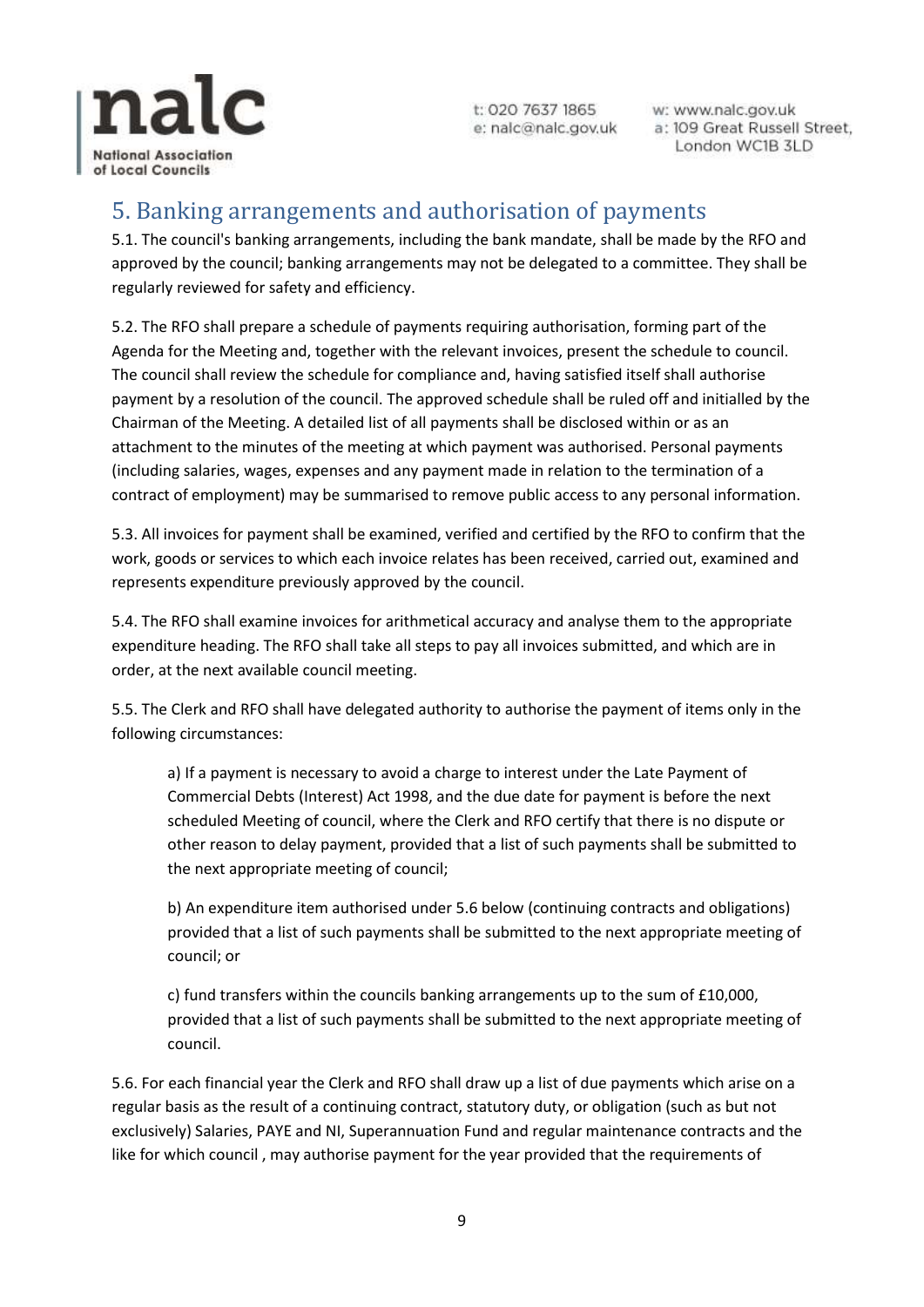

w: www.nalc.gov.uk a: 109 Great Russell Street, London WC1B 3LD

#### <span id="page-8-0"></span>5. Banking arrangements and authorisation of payments

5.1. The council's banking arrangements, including the bank mandate, shall be made by the RFO and approved by the council; banking arrangements may not be delegated to a committee. They shall be regularly reviewed for safety and efficiency.

5.2. The RFO shall prepare a schedule of payments requiring authorisation, forming part of the Agenda for the Meeting and, together with the relevant invoices, present the schedule to council. The council shall review the schedule for compliance and, having satisfied itself shall authorise payment by a resolution of the council. The approved schedule shall be ruled off and initialled by the Chairman of the Meeting. A detailed list of all payments shall be disclosed within or as an attachment to the minutes of the meeting at which payment was authorised. Personal payments (including salaries, wages, expenses and any payment made in relation to the termination of a contract of employment) may be summarised to remove public access to any personal information.

5.3. All invoices for payment shall be examined, verified and certified by the RFO to confirm that the work, goods or services to which each invoice relates has been received, carried out, examined and represents expenditure previously approved by the council.

5.4. The RFO shall examine invoices for arithmetical accuracy and analyse them to the appropriate expenditure heading. The RFO shall take all steps to pay all invoices submitted, and which are in order, at the next available council meeting.

5.5. The Clerk and RFO shall have delegated authority to authorise the payment of items only in the following circumstances:

a) If a payment is necessary to avoid a charge to interest under the Late Payment of Commercial Debts (Interest) Act 1998, and the due date for payment is before the next scheduled Meeting of council, where the Clerk and RFO certify that there is no dispute or other reason to delay payment, provided that a list of such payments shall be submitted to the next appropriate meeting of council;

b) An expenditure item authorised under 5.6 below (continuing contracts and obligations) provided that a list of such payments shall be submitted to the next appropriate meeting of council; or

c) fund transfers within the councils banking arrangements up to the sum of £10,000, provided that a list of such payments shall be submitted to the next appropriate meeting of council.

5.6. For each financial year the Clerk and RFO shall draw up a list of due payments which arise on a regular basis as the result of a continuing contract, statutory duty, or obligation (such as but not exclusively) Salaries, PAYE and NI, Superannuation Fund and regular maintenance contracts and the like for which council , may authorise payment for the year provided that the requirements of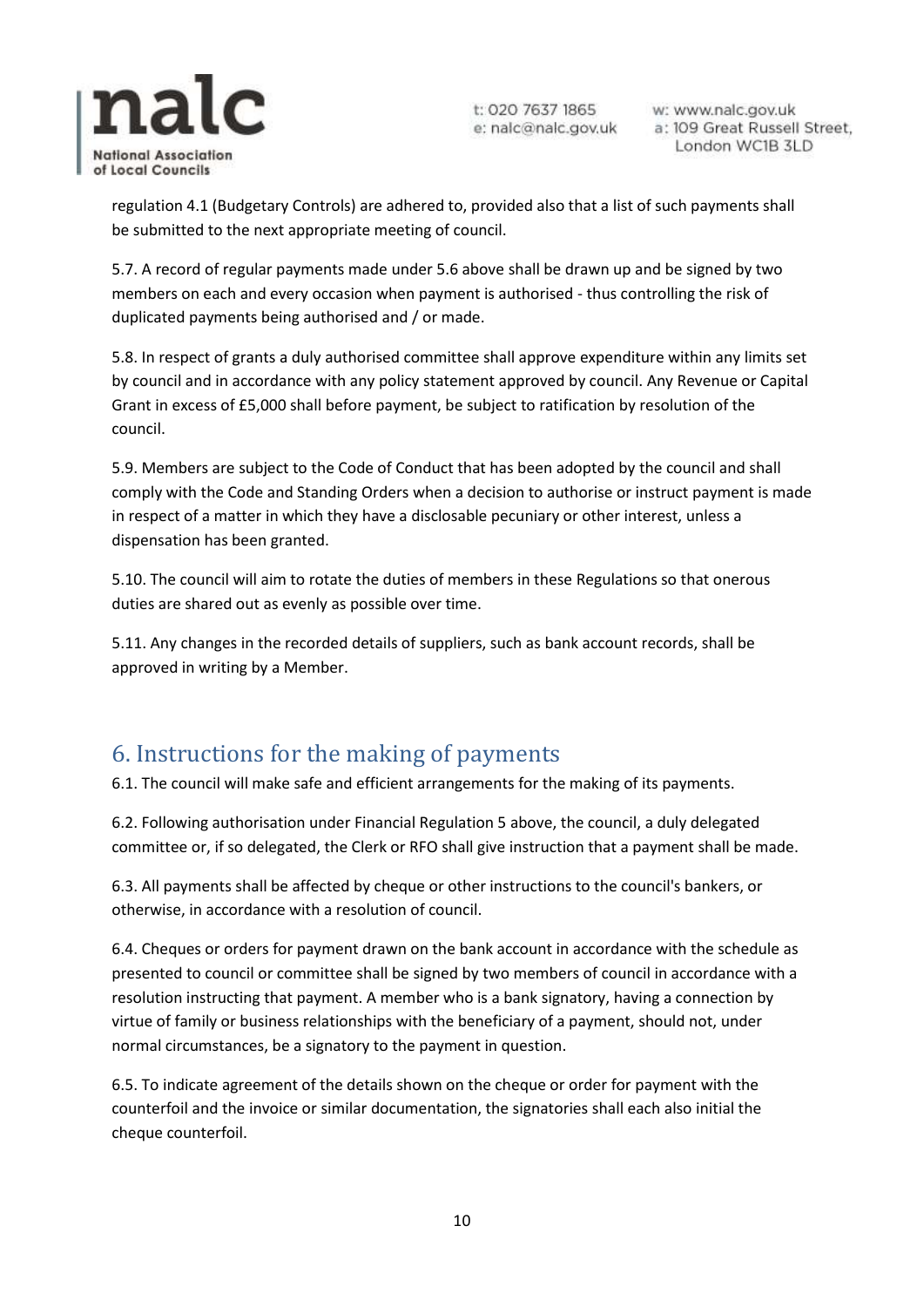

w: www.nalc.gov.uk a: 109 Great Russell Street, London WC1B 3LD

regulation 4.1 (Budgetary Controls) are adhered to, provided also that a list of such payments shall be submitted to the next appropriate meeting of council.

5.7. A record of regular payments made under 5.6 above shall be drawn up and be signed by two members on each and every occasion when payment is authorised - thus controlling the risk of duplicated payments being authorised and / or made.

5.8. In respect of grants a duly authorised committee shall approve expenditure within any limits set by council and in accordance with any policy statement approved by council. Any Revenue or Capital Grant in excess of £5,000 shall before payment, be subject to ratification by resolution of the council.

5.9. Members are subject to the Code of Conduct that has been adopted by the council and shall comply with the Code and Standing Orders when a decision to authorise or instruct payment is made in respect of a matter in which they have a disclosable pecuniary or other interest, unless a dispensation has been granted.

5.10. The council will aim to rotate the duties of members in these Regulations so that onerous duties are shared out as evenly as possible over time.

5.11. Any changes in the recorded details of suppliers, such as bank account records, shall be approved in writing by a Member.

## <span id="page-9-0"></span>6. Instructions for the making of payments

6.1. The council will make safe and efficient arrangements for the making of its payments.

6.2. Following authorisation under Financial Regulation 5 above, the council, a duly delegated committee or, if so delegated, the Clerk or RFO shall give instruction that a payment shall be made.

6.3. All payments shall be affected by cheque or other instructions to the council's bankers, or otherwise, in accordance with a resolution of council.

6.4. Cheques or orders for payment drawn on the bank account in accordance with the schedule as presented to council or committee shall be signed by two members of council in accordance with a resolution instructing that payment. A member who is a bank signatory, having a connection by virtue of family or business relationships with the beneficiary of a payment, should not, under normal circumstances, be a signatory to the payment in question.

6.5. To indicate agreement of the details shown on the cheque or order for payment with the counterfoil and the invoice or similar documentation, the signatories shall each also initial the cheque counterfoil.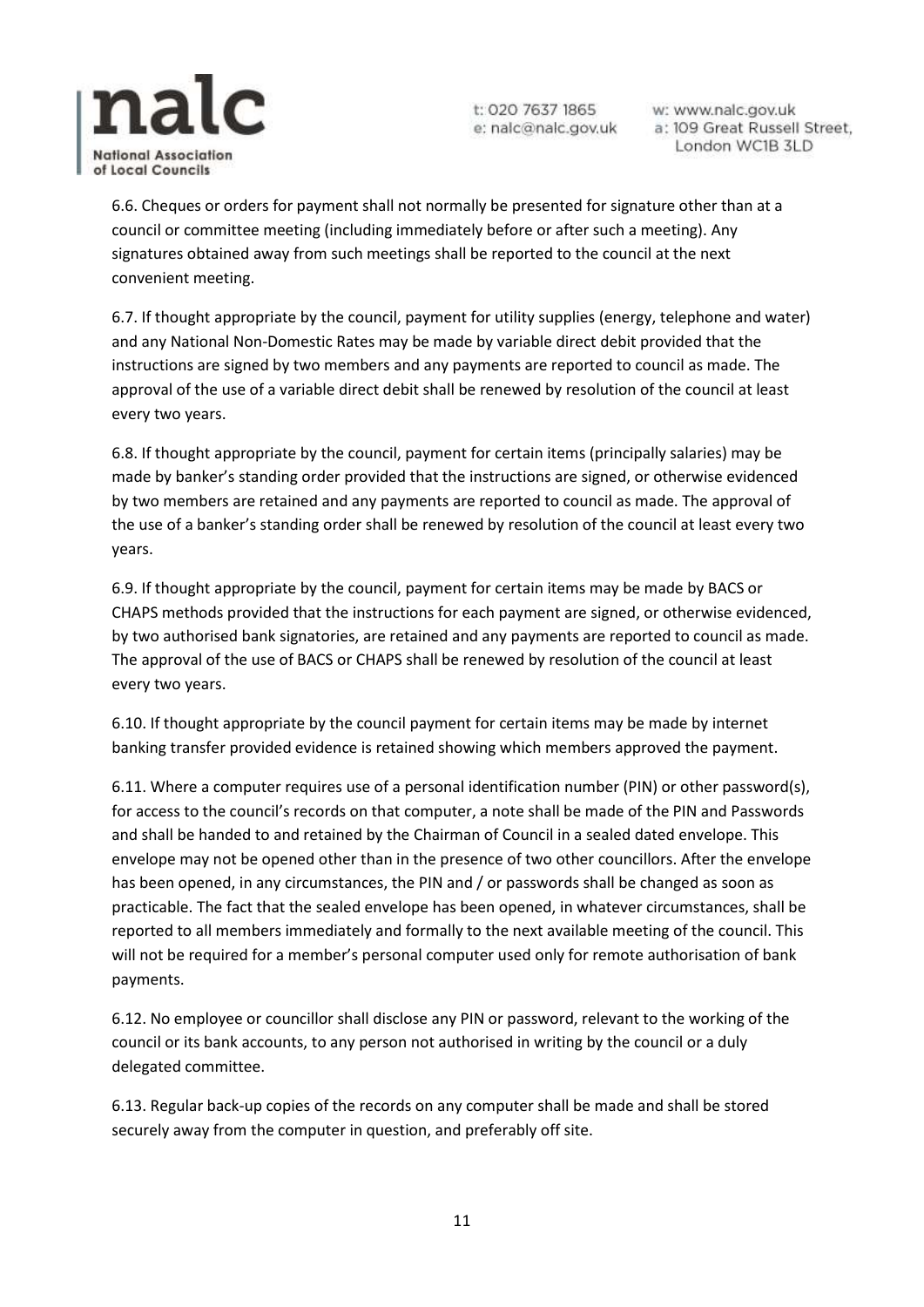

w: www.nalc.gov.uk a: 109 Great Russell Street, London WC1B 3LD

6.6. Cheques or orders for payment shall not normally be presented for signature other than at a council or committee meeting (including immediately before or after such a meeting). Any signatures obtained away from such meetings shall be reported to the council at the next convenient meeting.

6.7. If thought appropriate by the council, payment for utility supplies (energy, telephone and water) and any National Non-Domestic Rates may be made by variable direct debit provided that the instructions are signed by two members and any payments are reported to council as made. The approval of the use of a variable direct debit shall be renewed by resolution of the council at least every two years.

6.8. If thought appropriate by the council, payment for certain items (principally salaries) may be made by banker's standing order provided that the instructions are signed, or otherwise evidenced by two members are retained and any payments are reported to council as made. The approval of the use of a banker's standing order shall be renewed by resolution of the council at least every two years.

6.9. If thought appropriate by the council, payment for certain items may be made by BACS or CHAPS methods provided that the instructions for each payment are signed, or otherwise evidenced, by two authorised bank signatories, are retained and any payments are reported to council as made. The approval of the use of BACS or CHAPS shall be renewed by resolution of the council at least every two years.

6.10. If thought appropriate by the council payment for certain items may be made by internet banking transfer provided evidence is retained showing which members approved the payment.

6.11. Where a computer requires use of a personal identification number (PIN) or other password(s), for access to the council's records on that computer, a note shall be made of the PIN and Passwords and shall be handed to and retained by the Chairman of Council in a sealed dated envelope. This envelope may not be opened other than in the presence of two other councillors. After the envelope has been opened, in any circumstances, the PIN and / or passwords shall be changed as soon as practicable. The fact that the sealed envelope has been opened, in whatever circumstances, shall be reported to all members immediately and formally to the next available meeting of the council. This will not be required for a member's personal computer used only for remote authorisation of bank payments.

6.12. No employee or councillor shall disclose any PIN or password, relevant to the working of the council or its bank accounts, to any person not authorised in writing by the council or a duly delegated committee.

6.13. Regular back-up copies of the records on any computer shall be made and shall be stored securely away from the computer in question, and preferably off site.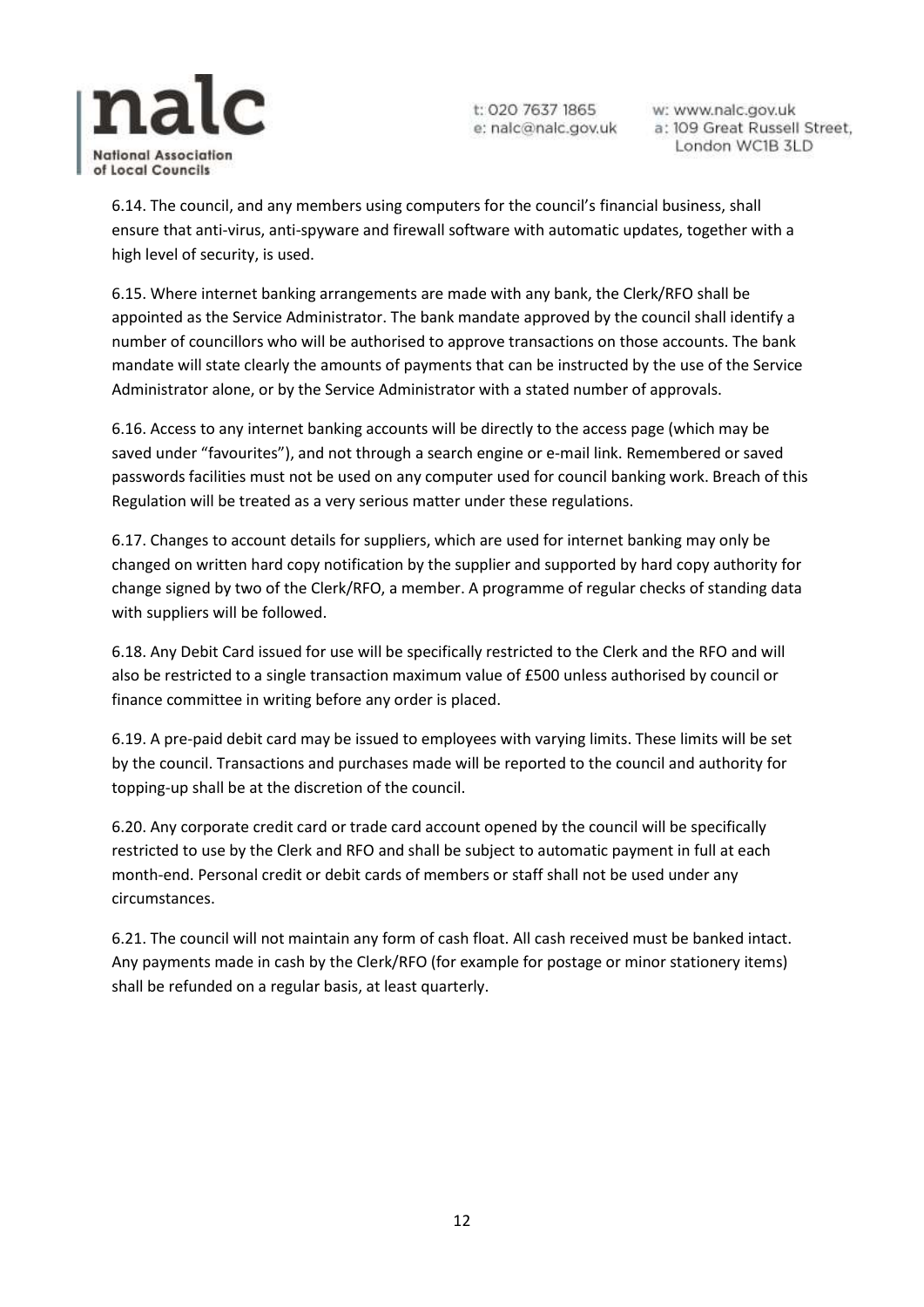

w: www.nalc.gov.uk a: 109 Great Russell Street, London WC1B 3LD

6.14. The council, and any members using computers for the council's financial business, shall ensure that anti-virus, anti-spyware and firewall software with automatic updates, together with a high level of security, is used.

6.15. Where internet banking arrangements are made with any bank, the Clerk/RFO shall be appointed as the Service Administrator. The bank mandate approved by the council shall identify a number of councillors who will be authorised to approve transactions on those accounts. The bank mandate will state clearly the amounts of payments that can be instructed by the use of the Service Administrator alone, or by the Service Administrator with a stated number of approvals.

6.16. Access to any internet banking accounts will be directly to the access page (which may be saved under "favourites"), and not through a search engine or e-mail link. Remembered or saved passwords facilities must not be used on any computer used for council banking work. Breach of this Regulation will be treated as a very serious matter under these regulations.

6.17. Changes to account details for suppliers, which are used for internet banking may only be changed on written hard copy notification by the supplier and supported by hard copy authority for change signed by two of the Clerk/RFO, a member. A programme of regular checks of standing data with suppliers will be followed.

6.18. Any Debit Card issued for use will be specifically restricted to the Clerk and the RFO and will also be restricted to a single transaction maximum value of £500 unless authorised by council or finance committee in writing before any order is placed.

6.19. A pre-paid debit card may be issued to employees with varying limits. These limits will be set by the council. Transactions and purchases made will be reported to the council and authority for topping-up shall be at the discretion of the council.

6.20. Any corporate credit card or trade card account opened by the council will be specifically restricted to use by the Clerk and RFO and shall be subject to automatic payment in full at each month-end. Personal credit or debit cards of members or staff shall not be used under any circumstances.

6.21. The council will not maintain any form of cash float. All cash received must be banked intact. Any payments made in cash by the Clerk/RFO (for example for postage or minor stationery items) shall be refunded on a regular basis, at least quarterly.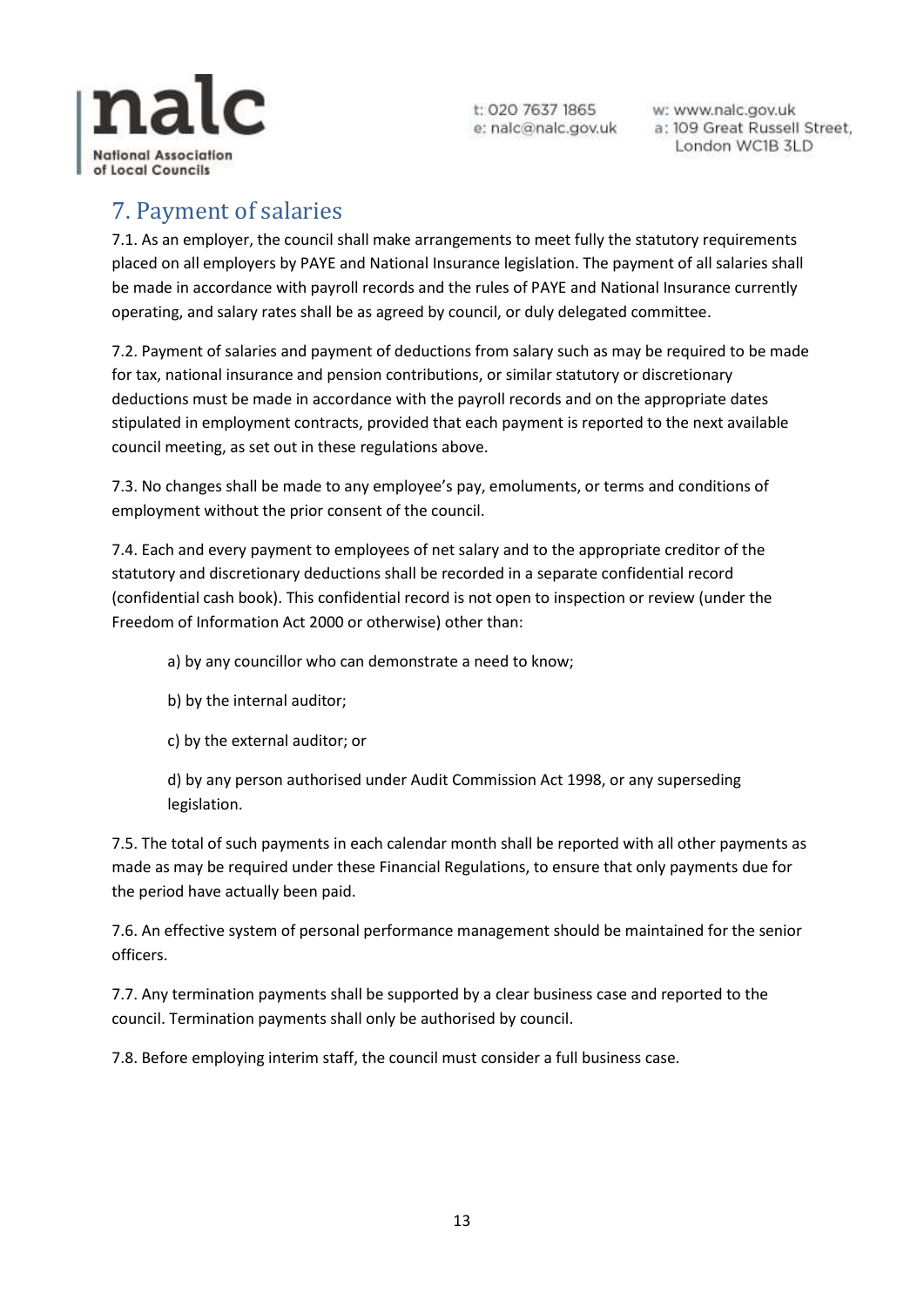

w: www.nalc.gov.uk a: 109 Great Russell Street, London WC1B 3LD

## <span id="page-12-0"></span>7. Payment of salaries

7.1. As an employer, the council shall make arrangements to meet fully the statutory requirements placed on all employers by PAYE and National Insurance legislation. The payment of all salaries shall be made in accordance with payroll records and the rules of PAYE and National Insurance currently operating, and salary rates shall be as agreed by council, or duly delegated committee.

7.2. Payment of salaries and payment of deductions from salary such as may be required to be made for tax, national insurance and pension contributions, or similar statutory or discretionary deductions must be made in accordance with the payroll records and on the appropriate dates stipulated in employment contracts, provided that each payment is reported to the next available council meeting, as set out in these regulations above.

7.3. No changes shall be made to any employee's pay, emoluments, or terms and conditions of employment without the prior consent of the council.

7.4. Each and every payment to employees of net salary and to the appropriate creditor of the statutory and discretionary deductions shall be recorded in a separate confidential record (confidential cash book). This confidential record is not open to inspection or review (under the Freedom of Information Act 2000 or otherwise) other than:

a) by any councillor who can demonstrate a need to know;

- b) by the internal auditor;
- c) by the external auditor; or

d) by any person authorised under Audit Commission Act 1998, or any superseding legislation.

7.5. The total of such payments in each calendar month shall be reported with all other payments as made as may be required under these Financial Regulations, to ensure that only payments due for the period have actually been paid.

7.6. An effective system of personal performance management should be maintained for the senior officers.

7.7. Any termination payments shall be supported by a clear business case and reported to the council. Termination payments shall only be authorised by council.

7.8. Before employing interim staff, the council must consider a full business case.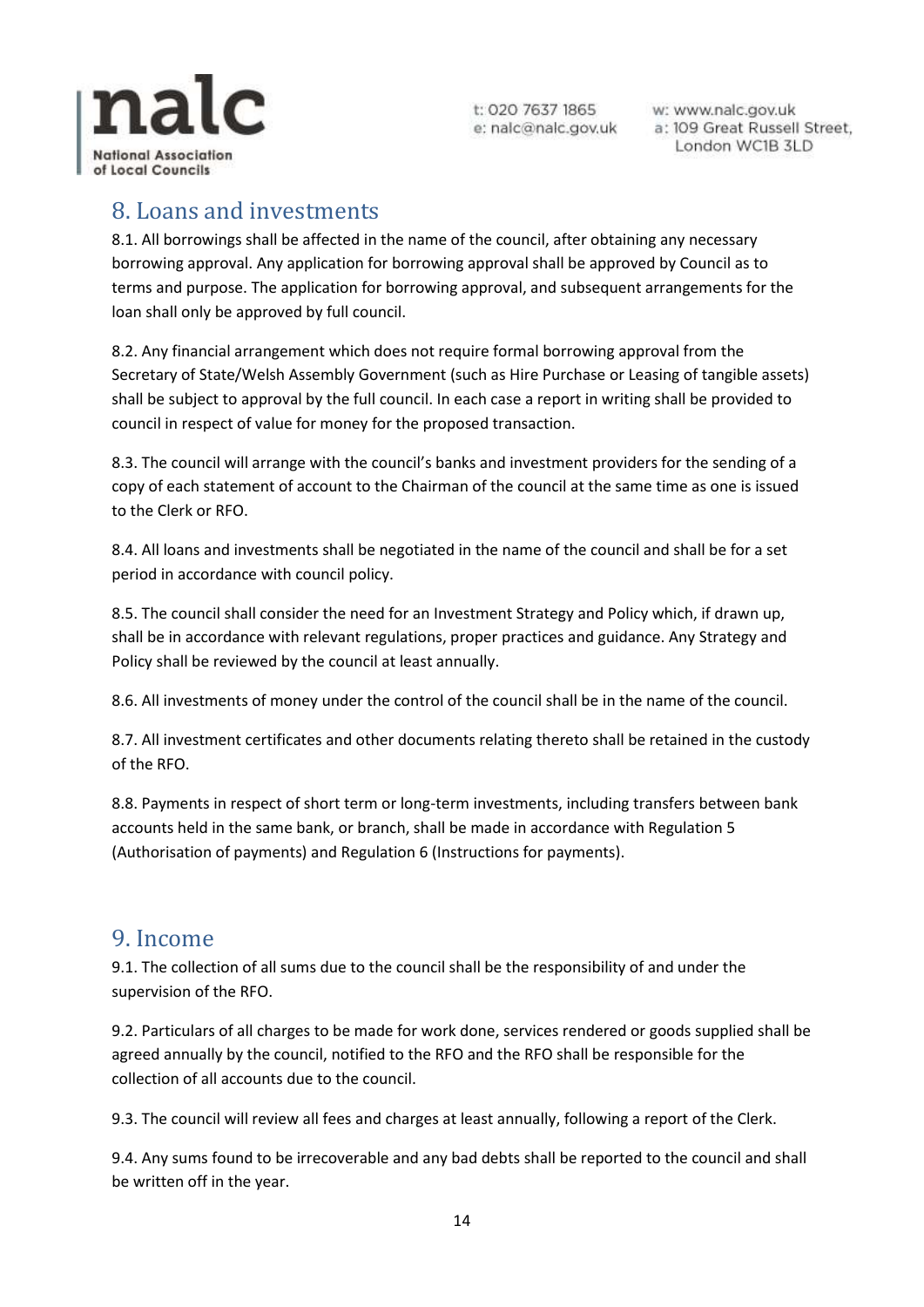

w: www.nalc.gov.uk a: 109 Great Russell Street, London WC1B 3LD

#### <span id="page-13-0"></span>8. Loans and investments

8.1. All borrowings shall be affected in the name of the council, after obtaining any necessary borrowing approval. Any application for borrowing approval shall be approved by Council as to terms and purpose. The application for borrowing approval, and subsequent arrangements for the loan shall only be approved by full council.

8.2. Any financial arrangement which does not require formal borrowing approval from the Secretary of State/Welsh Assembly Government (such as Hire Purchase or Leasing of tangible assets) shall be subject to approval by the full council. In each case a report in writing shall be provided to council in respect of value for money for the proposed transaction.

8.3. The council will arrange with the council's banks and investment providers for the sending of a copy of each statement of account to the Chairman of the council at the same time as one is issued to the Clerk or RFO.

8.4. All loans and investments shall be negotiated in the name of the council and shall be for a set period in accordance with council policy.

8.5. The council shall consider the need for an Investment Strategy and Policy which, if drawn up, shall be in accordance with relevant regulations, proper practices and guidance. Any Strategy and Policy shall be reviewed by the council at least annually.

8.6. All investments of money under the control of the council shall be in the name of the council.

8.7. All investment certificates and other documents relating thereto shall be retained in the custody of the RFO.

8.8. Payments in respect of short term or long-term investments, including transfers between bank accounts held in the same bank, or branch, shall be made in accordance with Regulation 5 (Authorisation of payments) and Regulation 6 (Instructions for payments).

#### <span id="page-13-1"></span>9. Income

9.1. The collection of all sums due to the council shall be the responsibility of and under the supervision of the RFO.

9.2. Particulars of all charges to be made for work done, services rendered or goods supplied shall be agreed annually by the council, notified to the RFO and the RFO shall be responsible for the collection of all accounts due to the council.

9.3. The council will review all fees and charges at least annually, following a report of the Clerk.

9.4. Any sums found to be irrecoverable and any bad debts shall be reported to the council and shall be written off in the year.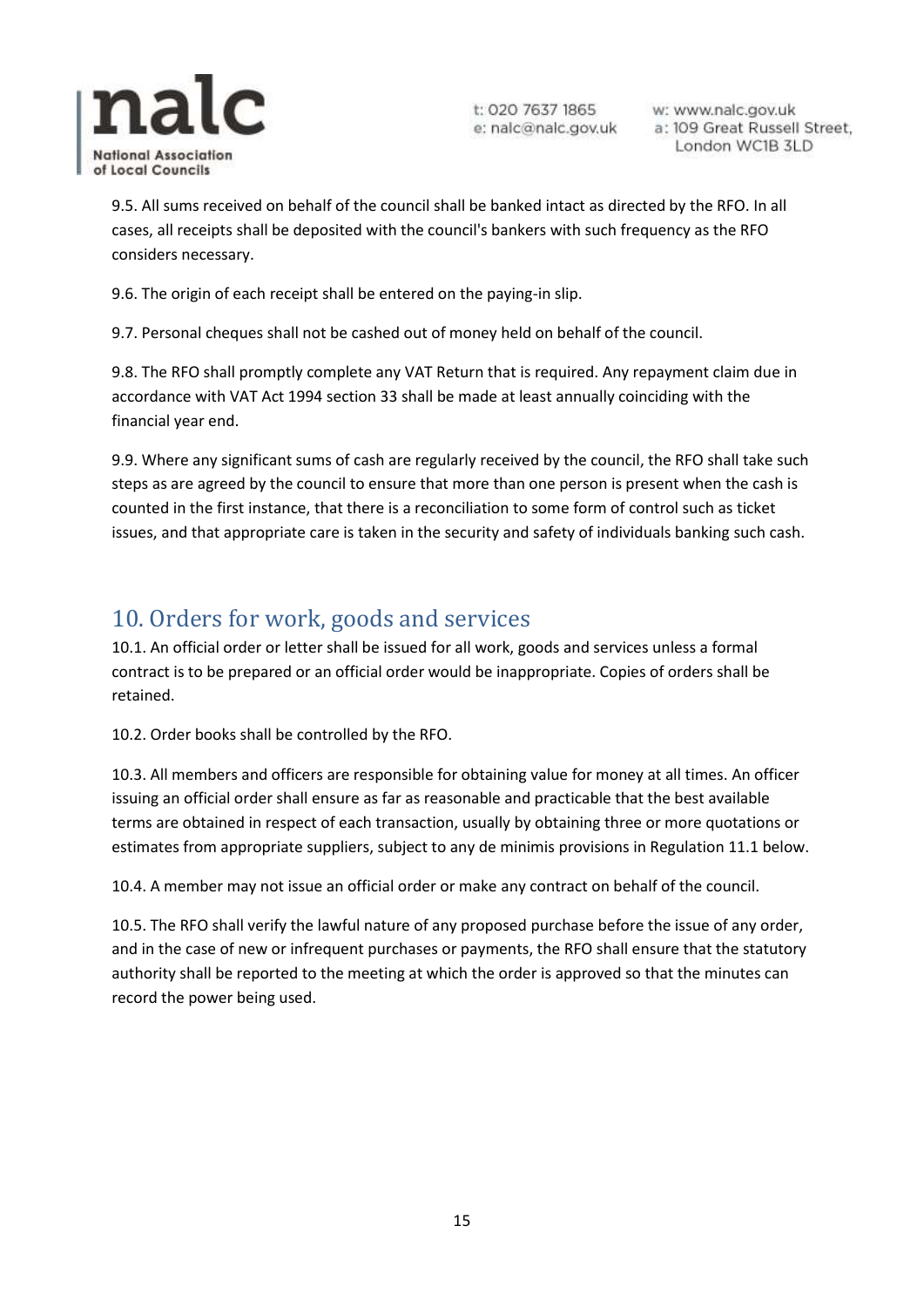

w: www.nalc.gov.uk a: 109 Great Russell Street, London WC1B 3LD

9.5. All sums received on behalf of the council shall be banked intact as directed by the RFO. In all cases, all receipts shall be deposited with the council's bankers with such frequency as the RFO considers necessary.

9.6. The origin of each receipt shall be entered on the paying-in slip.

9.7. Personal cheques shall not be cashed out of money held on behalf of the council.

9.8. The RFO shall promptly complete any VAT Return that is required. Any repayment claim due in accordance with VAT Act 1994 section 33 shall be made at least annually coinciding with the financial year end.

9.9. Where any significant sums of cash are regularly received by the council, the RFO shall take such steps as are agreed by the council to ensure that more than one person is present when the cash is counted in the first instance, that there is a reconciliation to some form of control such as ticket issues, and that appropriate care is taken in the security and safety of individuals banking such cash.

## <span id="page-14-0"></span>10. Orders for work, goods and services

10.1. An official order or letter shall be issued for all work, goods and services unless a formal contract is to be prepared or an official order would be inappropriate. Copies of orders shall be retained.

10.2. Order books shall be controlled by the RFO.

10.3. All members and officers are responsible for obtaining value for money at all times. An officer issuing an official order shall ensure as far as reasonable and practicable that the best available terms are obtained in respect of each transaction, usually by obtaining three or more quotations or estimates from appropriate suppliers, subject to any de minimis provisions in Regulation 11.1 below.

10.4. A member may not issue an official order or make any contract on behalf of the council.

10.5. The RFO shall verify the lawful nature of any proposed purchase before the issue of any order, and in the case of new or infrequent purchases or payments, the RFO shall ensure that the statutory authority shall be reported to the meeting at which the order is approved so that the minutes can record the power being used.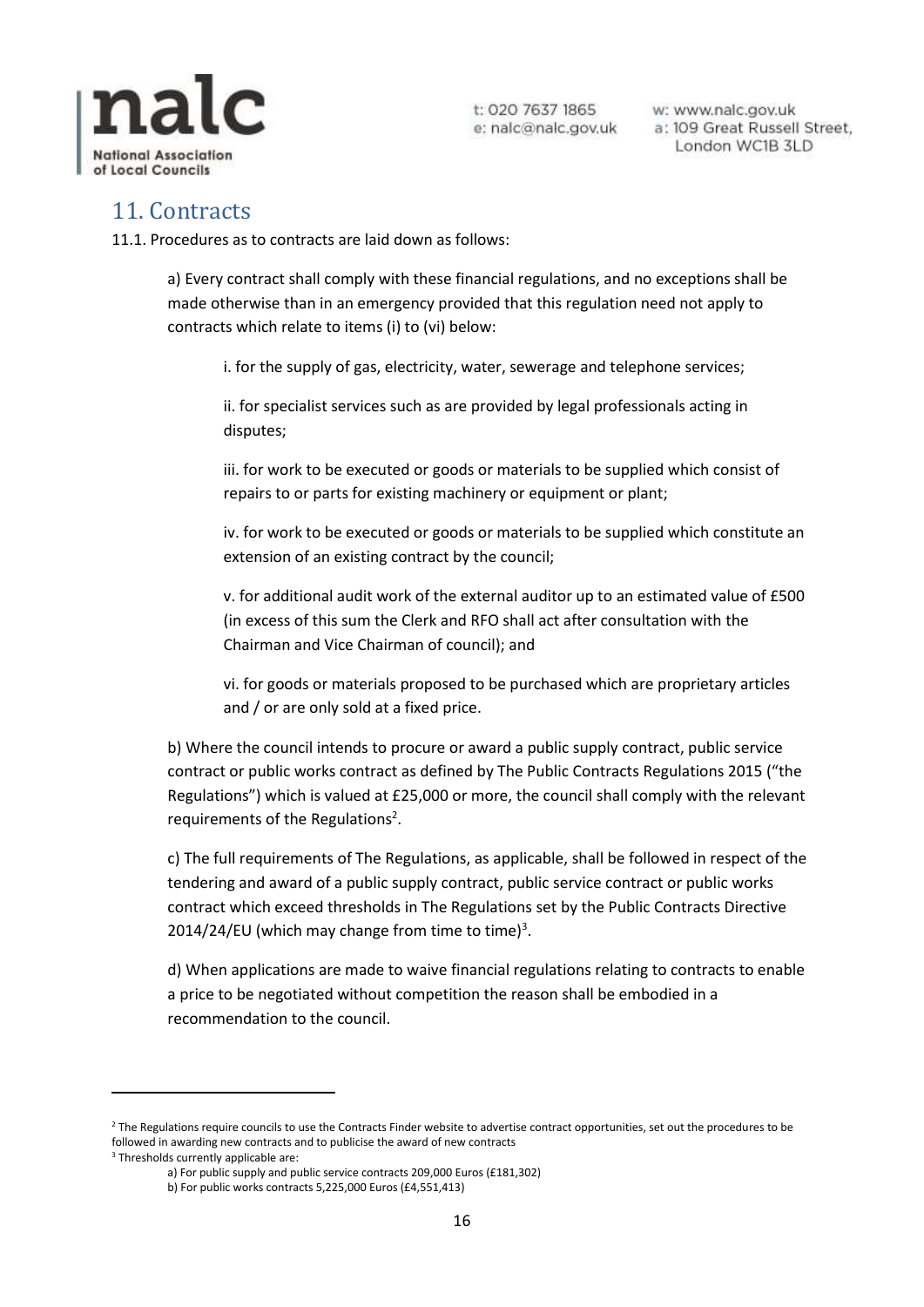

w: www.nalc.gov.uk a: 109 Great Russell Street, London WC1B 3LD

#### <span id="page-15-0"></span>11. Contracts

11.1. Procedures as to contracts are laid down as follows:

a) Every contract shall comply with these financial regulations, and no exceptions shall be made otherwise than in an emergency provided that this regulation need not apply to contracts which relate to items (i) to (vi) below:

i. for the supply of gas, electricity, water, sewerage and telephone services;

ii. for specialist services such as are provided by legal professionals acting in disputes;

iii. for work to be executed or goods or materials to be supplied which consist of repairs to or parts for existing machinery or equipment or plant;

iv. for work to be executed or goods or materials to be supplied which constitute an extension of an existing contract by the council;

v. for additional audit work of the external auditor up to an estimated value of £500 (in excess of this sum the Clerk and RFO shall act after consultation with the Chairman and Vice Chairman of council); and

vi. for goods or materials proposed to be purchased which are proprietary articles and / or are only sold at a fixed price.

b) Where the council intends to procure or award a public supply contract, public service contract or public works contract as defined by The Public Contracts Regulations 2015 ("the Regulations") which is valued at £25,000 or more, the council shall comply with the relevant requirements of the Regulations<sup>2</sup>.

c) The full requirements of The Regulations, as applicable, shall be followed in respect of the tendering and award of a public supply contract, public service contract or public works contract which exceed thresholds in The Regulations set by the Public Contracts Directive 2014/24/EU (which may change from time to time) $3$ .

d) When applications are made to waive financial regulations relating to contracts to enable a price to be negotiated without competition the reason shall be embodied in a recommendation to the council.

1

<sup>&</sup>lt;sup>2</sup> The Regulations require councils to use the Contracts Finder website to advertise contract opportunities, set out the procedures to be followed in awarding new contracts and to publicise the award of new contracts

<sup>&</sup>lt;sup>3</sup> Thresholds currently applicable are:

a) For public supply and public service contracts 209,000 Euros (£181,302)

b) For public works contracts 5,225,000 Euros (£4,551,413)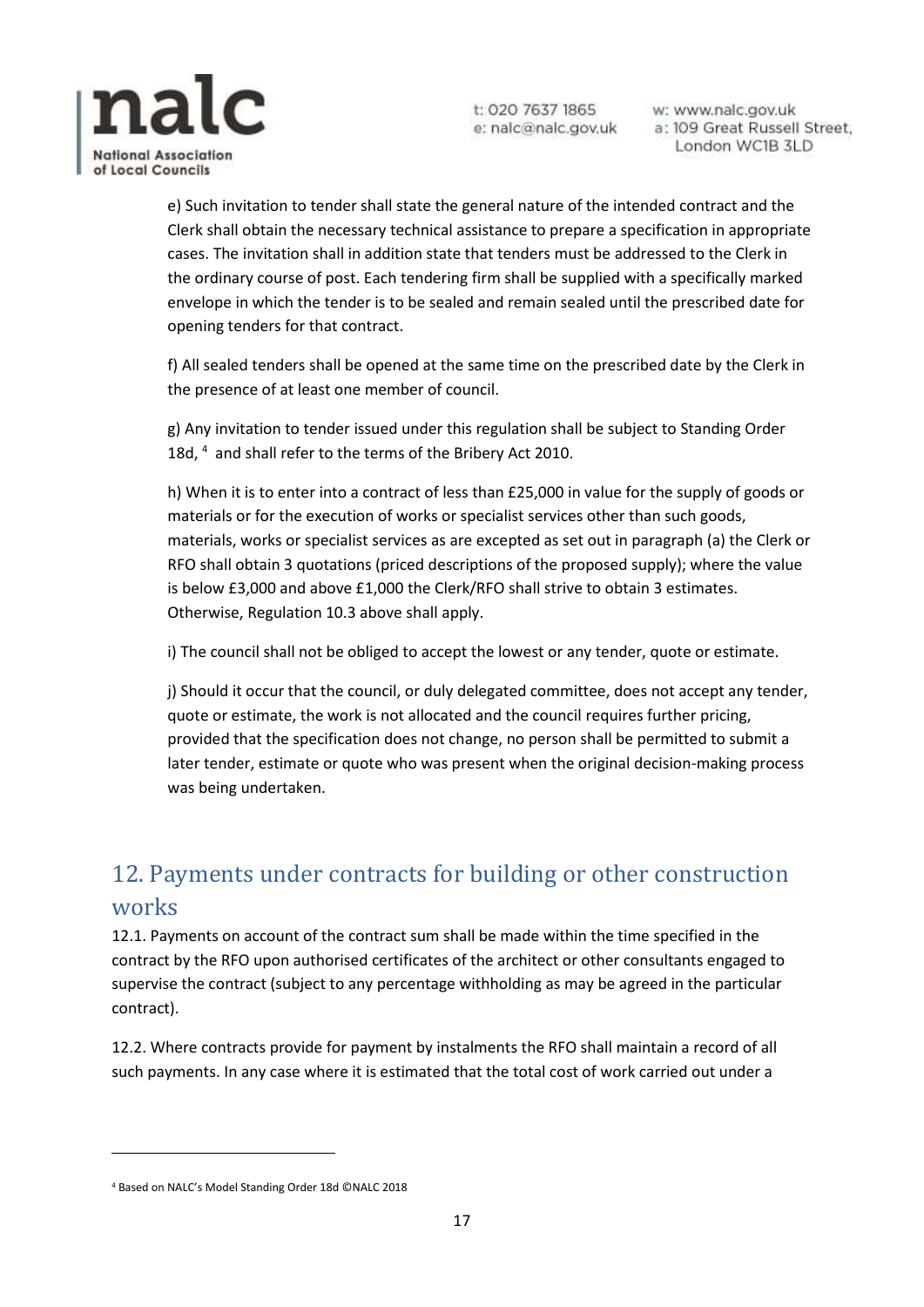

w: www.nalc.gov.uk a: 109 Great Russell Street, London WC1B 3LD

e) Such invitation to tender shall state the general nature of the intended contract and the Clerk shall obtain the necessary technical assistance to prepare a specification in appropriate cases. The invitation shall in addition state that tenders must be addressed to the Clerk in the ordinary course of post. Each tendering firm shall be supplied with a specifically marked envelope in which the tender is to be sealed and remain sealed until the prescribed date for opening tenders for that contract.

f) All sealed tenders shall be opened at the same time on the prescribed date by the Clerk in the presence of at least one member of council.

g) Any invitation to tender issued under this regulation shall be subject to Standing Order 18d, <sup>4</sup> and shall refer to the terms of the Bribery Act 2010.

h) When it is to enter into a contract of less than £25,000 in value for the supply of goods or materials or for the execution of works or specialist services other than such goods, materials, works or specialist services as are excepted as set out in paragraph (a) the Clerk or RFO shall obtain 3 quotations (priced descriptions of the proposed supply); where the value is below £3,000 and above £1,000 the Clerk/RFO shall strive to obtain 3 estimates. Otherwise, Regulation 10.3 above shall apply.

i) The council shall not be obliged to accept the lowest or any tender, quote or estimate.

j) Should it occur that the council, or duly delegated committee, does not accept any tender, quote or estimate, the work is not allocated and the council requires further pricing, provided that the specification does not change, no person shall be permitted to submit a later tender, estimate or quote who was present when the original decision-making process was being undertaken.

## <span id="page-16-0"></span>12. Payments under contracts for building or other construction works

12.1. Payments on account of the contract sum shall be made within the time specified in the contract by the RFO upon authorised certificates of the architect or other consultants engaged to supervise the contract (subject to any percentage withholding as may be agreed in the particular contract).

12.2. Where contracts provide for payment by instalments the RFO shall maintain a record of all such payments. In any case where it is estimated that the total cost of work carried out under a

 $\overline{a}$ 

<sup>4</sup> Based on NALC's Model Standing Order 18d ©NALC 2018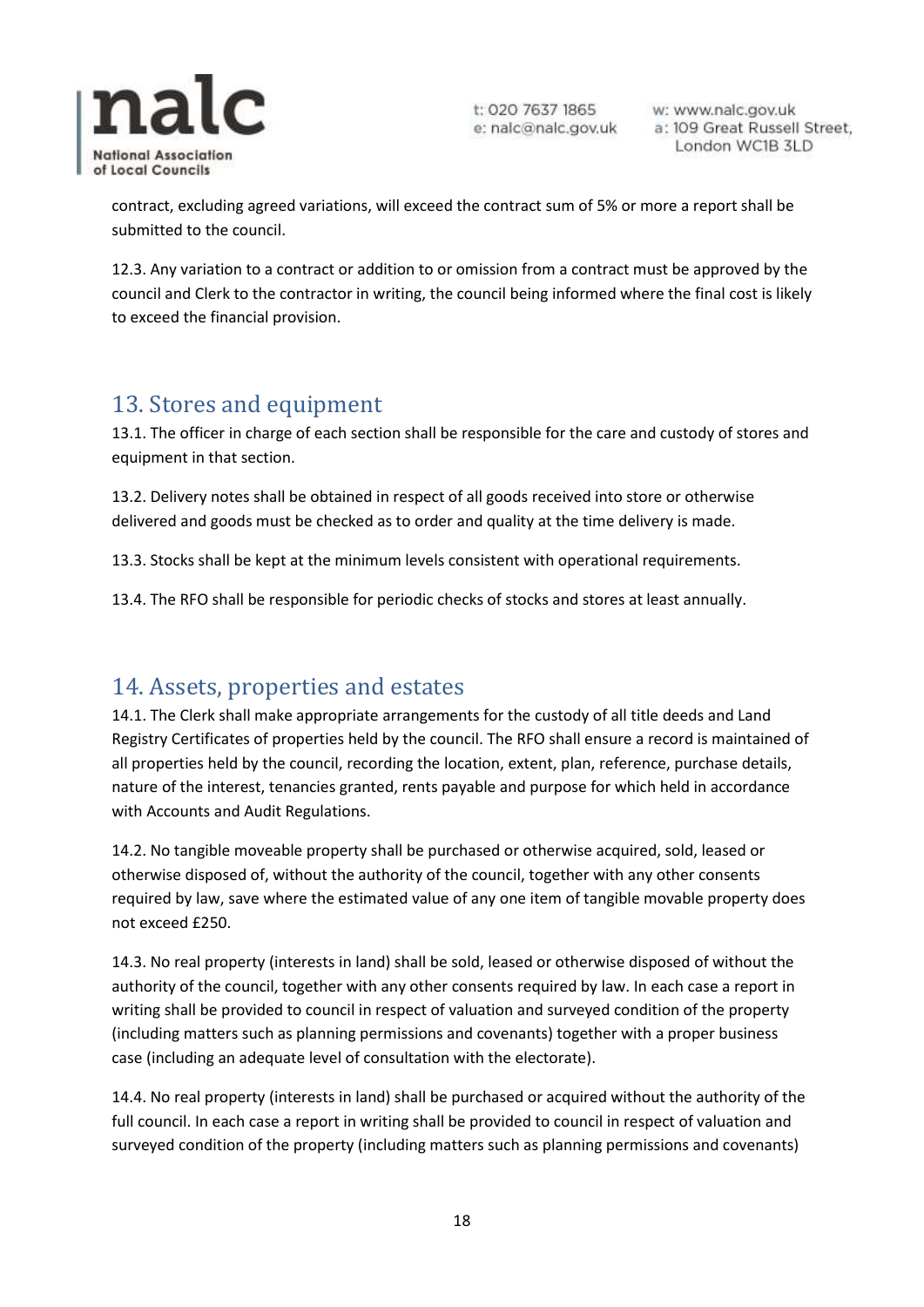

w: www.nalc.gov.uk a: 109 Great Russell Street, London WC1B 3LD

contract, excluding agreed variations, will exceed the contract sum of 5% or more a report shall be submitted to the council.

12.3. Any variation to a contract or addition to or omission from a contract must be approved by the council and Clerk to the contractor in writing, the council being informed where the final cost is likely to exceed the financial provision.

#### <span id="page-17-0"></span>13. Stores and equipment

13.1. The officer in charge of each section shall be responsible for the care and custody of stores and equipment in that section.

13.2. Delivery notes shall be obtained in respect of all goods received into store or otherwise delivered and goods must be checked as to order and quality at the time delivery is made.

13.3. Stocks shall be kept at the minimum levels consistent with operational requirements.

13.4. The RFO shall be responsible for periodic checks of stocks and stores at least annually.

#### <span id="page-17-1"></span>14. Assets, properties and estates

14.1. The Clerk shall make appropriate arrangements for the custody of all title deeds and Land Registry Certificates of properties held by the council. The RFO shall ensure a record is maintained of all properties held by the council, recording the location, extent, plan, reference, purchase details, nature of the interest, tenancies granted, rents payable and purpose for which held in accordance with Accounts and Audit Regulations.

14.2. No tangible moveable property shall be purchased or otherwise acquired, sold, leased or otherwise disposed of, without the authority of the council, together with any other consents required by law, save where the estimated value of any one item of tangible movable property does not exceed £250.

14.3. No real property (interests in land) shall be sold, leased or otherwise disposed of without the authority of the council, together with any other consents required by law. In each case a report in writing shall be provided to council in respect of valuation and surveyed condition of the property (including matters such as planning permissions and covenants) together with a proper business case (including an adequate level of consultation with the electorate).

14.4. No real property (interests in land) shall be purchased or acquired without the authority of the full council. In each case a report in writing shall be provided to council in respect of valuation and surveyed condition of the property (including matters such as planning permissions and covenants)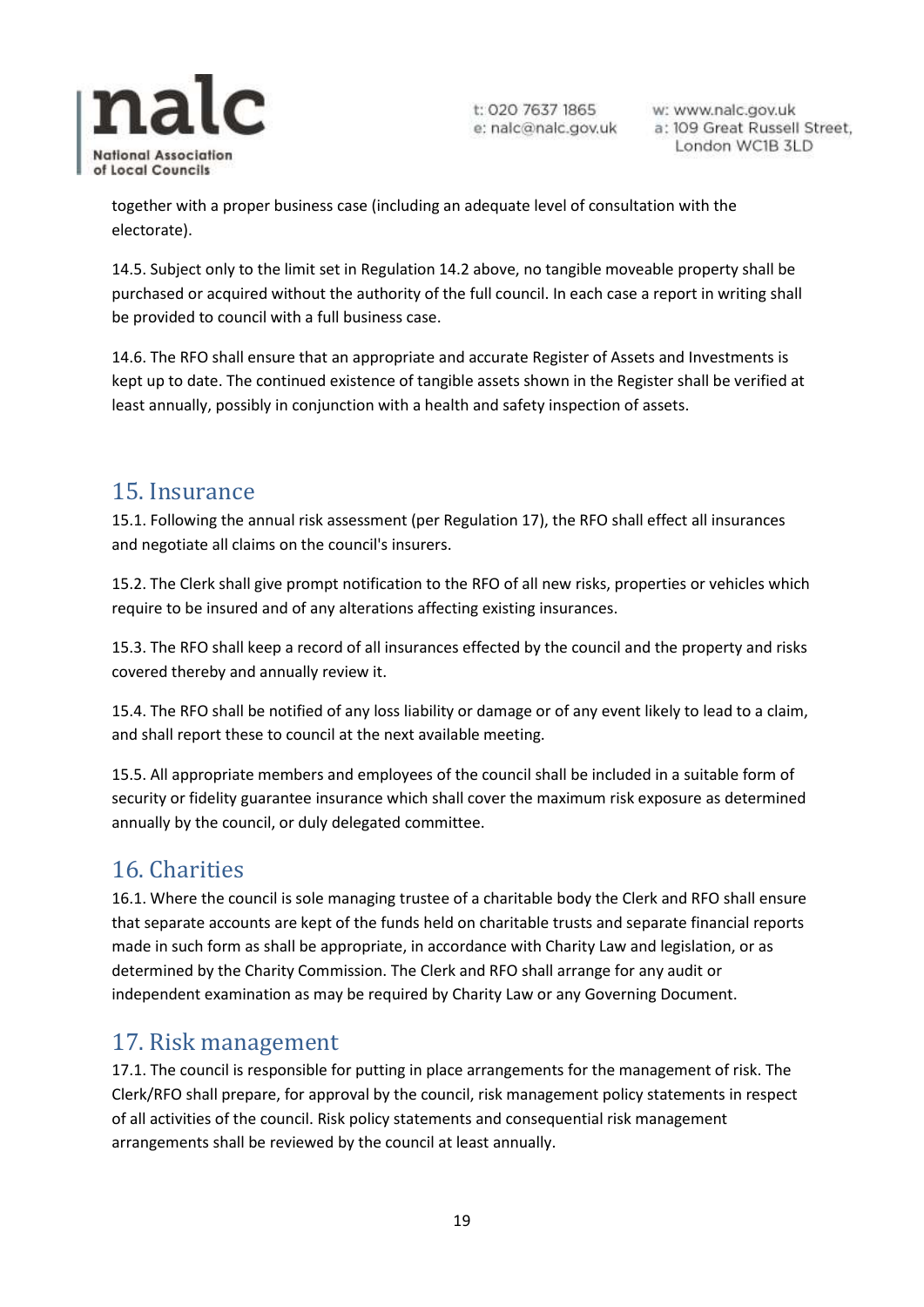

w: www.nalc.gov.uk a: 109 Great Russell Street, London WC1B 3LD

together with a proper business case (including an adequate level of consultation with the electorate).

14.5. Subject only to the limit set in Regulation 14.2 above, no tangible moveable property shall be purchased or acquired without the authority of the full council. In each case a report in writing shall be provided to council with a full business case.

14.6. The RFO shall ensure that an appropriate and accurate Register of Assets and Investments is kept up to date. The continued existence of tangible assets shown in the Register shall be verified at least annually, possibly in conjunction with a health and safety inspection of assets.

#### <span id="page-18-0"></span>15. Insurance

15.1. Following the annual risk assessment (per Regulation 17), the RFO shall effect all insurances and negotiate all claims on the council's insurers.

15.2. The Clerk shall give prompt notification to the RFO of all new risks, properties or vehicles which require to be insured and of any alterations affecting existing insurances.

15.3. The RFO shall keep a record of all insurances effected by the council and the property and risks covered thereby and annually review it.

15.4. The RFO shall be notified of any loss liability or damage or of any event likely to lead to a claim, and shall report these to council at the next available meeting.

15.5. All appropriate members and employees of the council shall be included in a suitable form of security or fidelity guarantee insurance which shall cover the maximum risk exposure as determined annually by the council, or duly delegated committee.

## <span id="page-18-1"></span>16. Charities

16.1. Where the council is sole managing trustee of a charitable body the Clerk and RFO shall ensure that separate accounts are kept of the funds held on charitable trusts and separate financial reports made in such form as shall be appropriate, in accordance with Charity Law and legislation, or as determined by the Charity Commission. The Clerk and RFO shall arrange for any audit or independent examination as may be required by Charity Law or any Governing Document.

#### <span id="page-18-2"></span>17. Risk management

17.1. The council is responsible for putting in place arrangements for the management of risk. The Clerk/RFO shall prepare, for approval by the council, risk management policy statements in respect of all activities of the council. Risk policy statements and consequential risk management arrangements shall be reviewed by the council at least annually.